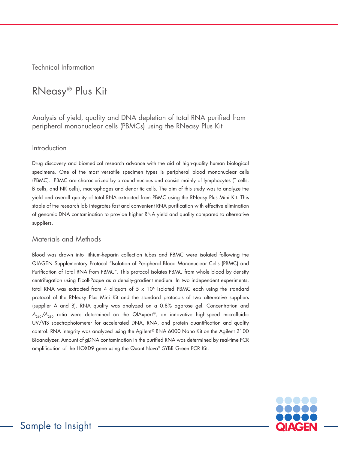Technical Information

# RNeasy® Plus Kit

Analysis of yield, quality and DNA depletion of total RNA purified from peripheral mononuclear cells (PBMCs) using the RNeasy Plus Kit

### Introduction

Drug discovery and biomedical research advance with the aid of high-quality human biological specimens. One of the most versatile specimen types is peripheral blood mononuclear cells (PBMC). PBMC are characterized by a round nucleus and consist mainly of lymphocytes (T cells, B cells, and NK cells), macrophages and dendritic cells. The aim of this study was to analyze the yield and overall quality of total RNA extracted from PBMC using the RNeasy Plus Mini Kit. This staple of the research lab integrates fast and convenient RNA purification with effective elimination of genomic DNA contamination to provide higher RNA yield and quality compared to alternative suppliers.

# Materials and Methods

Blood was drawn into lithium-heparin collection tubes and PBMC were isolated following the QIAGEN Supplementary Protocol "Isolation of Peripheral Blood Mononuclear Cells (PBMC) and Purification of Total RNA from PBMC". This protocol isolates PBMC from whole blood by density centrifugation using Ficoll-Paque as a density-gradient medium. In two independent experiments, total RNA was extracted from 4 aliquots of  $5 \times 10^6$  isolated PBMC each using the standard protocol of the RNeasy Plus Mini Kit and the standard protocols of two alternative suppliers (supplier A and B). RNA quality was analyzed on a 0.8% agarose gel. Concentration and  $A_{260}/A_{280}$  ratio were determined on the QIAxpert®, an innovative high-speed microfluidic UV/VIS spectrophotometer for accelerated DNA, RNA, and protein quantification and quality control. RNA integrity was analyzed using the Agilent® RNA 6000 Nano Kit on the Agilent 2100 Bioanalyzer. Amount of gDNA contamination in the purified RNA was determined by real-time PCR amplification of the HOXD9 gene using the QuantiNova® SYBR Green PCR Kit.

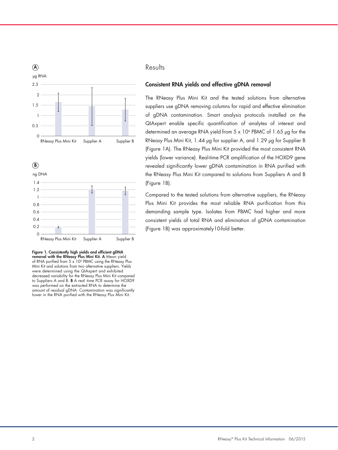





Figure 1. Consistently high yields and efficient gDNA removal with the RNeasy Plus Mini Kit. A Mean yield of RNA purified from 5 x 106 PBMC using the RNeasy Plus Mini Kit and solutions from two alternative suppliers. Yields were determined using the QIAxpert and exhibited decreased variability for the RNeasy Plus Mini Kit compared to Suppliers A and B. B A real -time PCR assay for HOXD9 was performed on the extracted RNA to determine the amount of residual gDNA. Contamination was significantly lower in the RNA purified with the RNeasy Plus Mini Kit.

# Results B

#### Consistent RNA yields and effective gDNA removal 1.4

The RNeasy Plus Mini Kit and the tested solutions from alternative 1 suppliers use gDNA removing columns for rapid and effective elimination of gDNA contamination. Smart analysis protocols installed on the QIAxpert enable specific quantification of analytes of interest and 0.4 determined an average RNA yield from  $5 \times 10^6$  PBMC of 1.65  $\mu$ g for the RNeasy Plus Mini Kit, 1.44 µg for supplier A, and 1.29 µg for Supplier B 0 (Figure 1A). The RNeasy Plus Mini Kit provided the most consistent RNA yields (lower variance). Real-time PCR amplification of the HOXD9 gene revealed significantly lower gDNA contamination in RNA purified with the RNeasy Plus Mini Kit compared to solutions from Suppliers A and B (Figure 1B). easy Plus Mini Kit, T.44 µg for supplier A, (

> Compared to the tested solutions from alternative suppliers, the RNeasy Plus Mini Kit provides the most reliable RNA purification from this demanding sample type. Isolates from PBMC had higher and more consistent yields of total RNA and elimination of gDNA contamination (Figure 1B) was approximately10-fold better.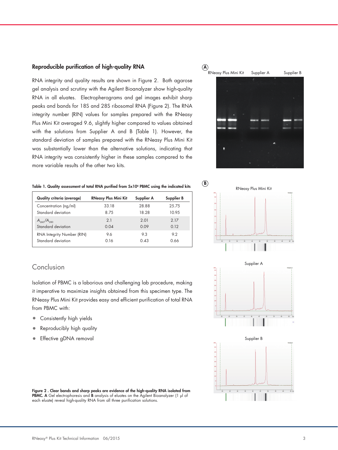#### Reproducible purification of high-quality RNA

RNA integrity and quality results are shown in Figure 2. Both agarose gel analysis and scrutiny with the Agilent Bioanalyzer show high-quality RNA in all eluates. Electropherograms and gel images exhibit sharp peaks and bands for 18S and 28S ribosomal RNA (Figure 2). The RNA integrity number (RIN) values for samples prepared with the RNeasy Plus Mini Kit averaged 9.6, slightly higher compared to values obtained with the solutions from Supplier A and B (Table 1). However, the standard deviation of samples prepared with the RNeasy Plus Mini Kit was substantially lower than the alternative solutions, indicating that RNA integrity was consistently higher in these samples compared to the more variable results of the other two kits.

#### Table 1. Quality assessment of total RNA purified from 5x10<sup>6</sup> PBMC using the indicated kits

| <b>Quality criteria (average)</b> | <b>RNeasy Plus Mini Kit</b> | Supplier A | Supplier B |
|-----------------------------------|-----------------------------|------------|------------|
| Concentration (ng/ml)             | 33.18                       | 28.88      | 25.75      |
| Standard deviation                | 8 75                        | 18.28      | 10 9.5     |
| $A_{240}/A_{280}$                 | 2.1                         | 2.01       | 2 1 7      |
| Standard deviation                | 0.04                        | 0.09       | 0.12       |
| RNA Integrity Number (RIN)        | 9.6                         | 93         | 92         |
| Standard deviation                | 0.16                        | 0.43       | 0.66       |

# Conclusion

Isolation of PBMC is a laborious and challenging lab procedure, making it imperative to maximize insights obtained from this specimen type. The RNeasy Plus Mini Kit provides easy and efficient purification of total RNA from PBMC with:

- Consistently high yields
- Reproducibly high quality
- Effective gDNA removal